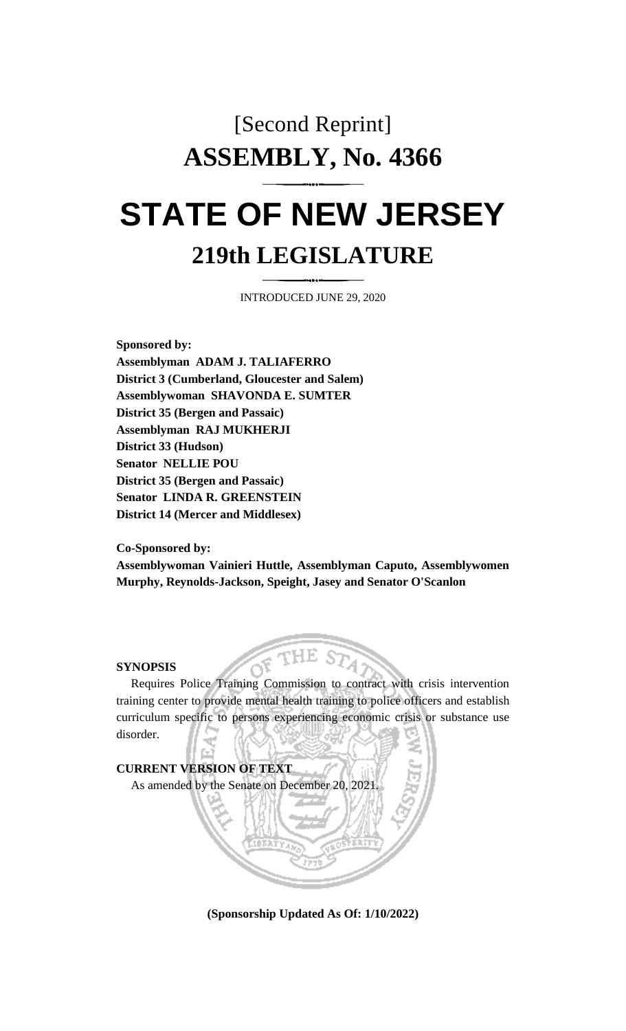## [Second Reprint] **ASSEMBLY, No. 4366 STATE OF NEW JERSEY 219th LEGISLATURE**

INTRODUCED JUNE 29, 2020

**Sponsored by: Assemblyman ADAM J. TALIAFERRO District 3 (Cumberland, Gloucester and Salem) Assemblywoman SHAVONDA E. SUMTER District 35 (Bergen and Passaic) Assemblyman RAJ MUKHERJI District 33 (Hudson) Senator NELLIE POU District 35 (Bergen and Passaic) Senator LINDA R. GREENSTEIN District 14 (Mercer and Middlesex)**

**Co-Sponsored by:**

**Assemblywoman Vainieri Huttle, Assemblyman Caputo, Assemblywomen Murphy, Reynolds-Jackson, Speight, Jasey and Senator O'Scanlon**

## **SYNOPSIS**

Requires Police Training Commission to contract with crisis intervention training center to provide mental health training to police officers and establish curriculum specific to persons experiencing economic crisis or substance use disorder.



**(Sponsorship Updated As Of: 1/10/2022)**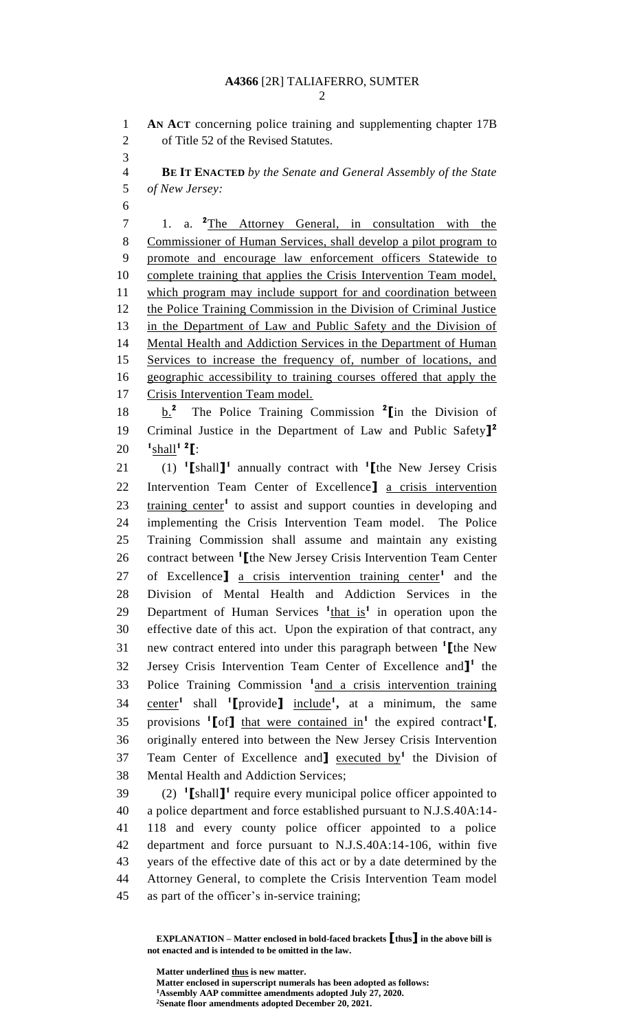**AN ACT** concerning police training and supplementing chapter 17B of Title 52 of the Revised Statutes.

 **BE IT ENACTED** *by the Senate and General Assembly of the State of New Jersey:*

1. a. **<sup>2</sup>** The Attorney General, in consultation with the Commissioner of Human Services, shall develop a pilot program to promote and encourage law enforcement officers Statewide to complete training that applies the Crisis Intervention Team model, which program may include support for and coordination between 12 the Police Training Commission in the Division of Criminal Justice in the Department of Law and Public Safety and the Division of Mental Health and Addiction Services in the Department of Human Services to increase the frequency of, number of locations, and geographic accessibility to training courses offered that apply the Crisis Intervention Team model.

b.**<sup>2</sup>** 18 **b.**<sup>2</sup> The Police Training Commission <sup>2</sup> [in the Division of Criminal Justice in the Department of Law and Public Safety**] 2 1** shall**<sup>1</sup> <sup>2</sup> [**:

(1) **<sup>1</sup> [**shall**] 1** annually contract with **<sup>1</sup> [**the New Jersey Crisis Intervention Team Center of Excellence**]** a crisis intervention 23 training center<sup>1</sup> to assist and support counties in developing and implementing the Crisis Intervention Team model. The Police Training Commission shall assume and maintain any existing 26 contract between <sup>1</sup> [the New Jersey Crisis Intervention Team Center 27 of Excellence<sup>]</sup> a crisis intervention training center<sup>1</sup> and the Division of Mental Health and Addiction Services in the 29 Department of Human Services  $\frac{1_{\text{that is}}}{1_{\text{at}}}$  in operation upon the effective date of this act. Upon the expiration of that contract, any new contract entered into under this paragraph between **<sup>1</sup> [**the New 32 Jersey Crisis Intervention Team Center of Excellence and<sup>1</sup> the 33 Police Training Commission <sup>1</sup> and a crisis intervention training center**<sup>1</sup>** shall **<sup>1</sup> [**provide**]** include**<sup>1</sup> ,** at a minimum, the same 35 provisions <sup>1</sup>[of] that were contained in<sup>1</sup> the expired contract<sup>1</sup>[, originally entered into between the New Jersey Crisis Intervention Team Center of Excellence and**]** executed by**<sup>1</sup>** the Division of Mental Health and Addiction Services;

 $(2)$   $\text{Tshall}$  require every municipal police officer appointed to a police department and force established pursuant to N.J.S.40A:14- 118 and every county police officer appointed to a police department and force pursuant to N.J.S.40A:14-106, within five years of the effective date of this act or by a date determined by the Attorney General, to complete the Crisis Intervention Team model as part of the officer's in-service training;

**EXPLANATION – Matter enclosed in bold-faced brackets [thus] in the above bill is not enacted and is intended to be omitted in the law.**

**Matter underlined thus is new matter.**

**Matter enclosed in superscript numerals has been adopted as follows:**

**Assembly AAP committee amendments adopted July 27, 2020.**

**Senate floor amendments adopted December 20, 2021.**